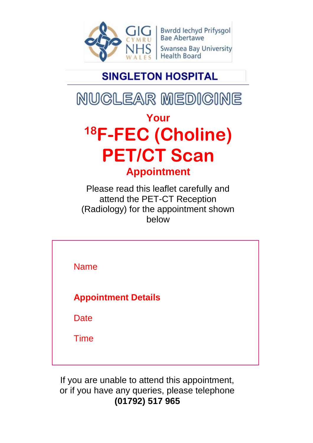

Bwrdd Iechyd Prifysgol<br>Bae Abertawe **Swansea Bay University Health Board** 

# **SINGLETON HOSPITAL**

NUCLEAR MEDICINE

# **Your <sup>18</sup>F-FEC (Choline) PET/CT Scan Appointment**

Please read this leaflet carefully and attend the PET-CT Reception (Radiology) for the appointment shown below

Name **Appointment Details Date** Time

If you are unable to attend this appointment, or if you have any queries, please telephone **(01792) 517 965**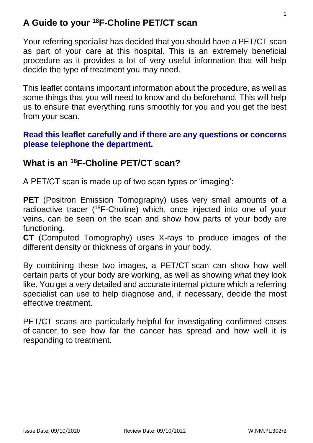#### **A Guide to your <sup>18</sup>F-Choline PET/CT scan**

Your referring specialist has decided that you should have a PET/CT scan as part of your care at this hospital. This is an extremely beneficial procedure as it provides a lot of very useful information that will help decide the type of treatment you may need.

This leaflet contains important information about the procedure, as well as some things that you will need to know and do beforehand. This will help us to ensure that everything runs smoothly for you and you get the best from your scan.

#### **Read this leaflet carefully and if there are any questions or concerns please telephone the department.**

#### **What is an <sup>18</sup>F-Choline PET/CT scan?**

A PET/CT scan is made up of two scan types or 'imaging':

**PET** (Positron Emission Tomography) uses very small amounts of a radioactive tracer ( <sup>18</sup>F-Choline) which, once injected into one of your veins, can be seen on the scan and show how parts of your body are functioning.

**CT** (Computed Tomography) uses X-rays to produce images of the different density or thickness of organs in your body.

By combining these two images, a PET/CT scan can show how well certain parts of your body are working, as well as showing what they look like. You get a very detailed and accurate internal picture which a referring specialist can use to help diagnose and, if necessary, decide the most effective treatment.

PET/CT scans are particularly helpful for investigating confirmed cases of [cancer,](https://www.nhs.uk/conditions/cancer/) to see how far the cancer has spread and how well it is responding to treatment.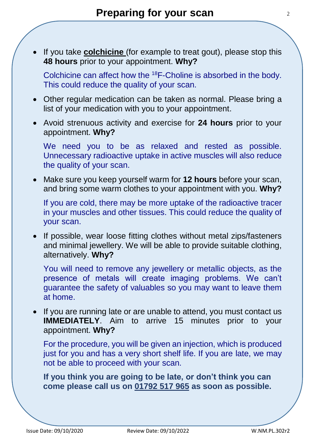If you take **colchicine** (for example to treat gout), please stop this **48 hours** prior to your appointment. **Why?**

Colchicine can affect how the <sup>18</sup>F-Choline is absorbed in the body. This could reduce the quality of your scan.

- Other regular medication can be taken as normal. Please bring a list of your medication with you to your appointment.
- Avoid strenuous activity and exercise for **24 hours** prior to your appointment. **Why?**

We need you to be as relaxed and rested as possible. Unnecessary radioactive uptake in active muscles will also reduce the quality of your scan.

 Make sure you keep yourself warm for **12 hours** before your scan, and bring some warm clothes to your appointment with you. **Why?**

If you are cold, there may be more uptake of the radioactive tracer in your muscles and other tissues. This could reduce the quality of your scan.

• If possible, wear loose fitting clothes without metal zips/fasteners and minimal jewellery. We will be able to provide suitable clothing, alternatively. **Why?**

You will need to remove any jewellery or metallic objects, as the presence of metals will create imaging problems. We can't guarantee the safety of valuables so you may want to leave them at home.

• If you are running late or are unable to attend, you must contact us **IMMEDIATELY**. Aim to arrive 15 minutes prior to your appointment. **Why?**

For the procedure, you will be given an injection, which is produced just for you and has a very short shelf life. If you are late, we may not be able to proceed with your scan.

**If you think you are going to be late, or don't think you can come please call us on 01792 517 965 as soon as possible.**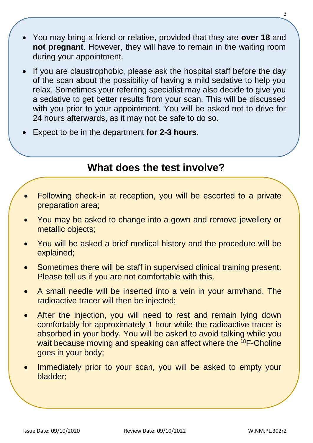- You may bring a friend or relative, provided that they are **over 18** and **not pregnant**. However, they will have to remain in the waiting room during your appointment.
- If you are claustrophobic, please ask the hospital staff before the day of the scan about the possibility of having a mild sedative to help you relax. Sometimes your referring specialist may also decide to give you a sedative to get better results from your scan. This will be discussed with you prior to your appointment. You will be asked not to drive for 24 hours afterwards, as it may not be safe to do so.
- Expect to be in the department **for 2-3 hours.**

#### **What does the test involve?**

- Following check-in at reception, you will be escorted to a private preparation area;
- You may be asked to change into a gown and remove jewellery or metallic objects;
- You will be asked a brief medical history and the procedure will be explained;
- Sometimes there will be staff in supervised clinical training present. Please tell us if you are not comfortable with this.
- A small needle will be inserted into a vein in your arm/hand. The radioactive tracer will then be injected;
- After the injection, you will need to rest and remain lying down comfortably for approximately 1 hour while the radioactive tracer is absorbed in your body. You will be asked to avoid talking while you wait because moving and speaking can affect where the <sup>18</sup>F-Choline goes in your body;
- Immediately prior to your scan, you will be asked to empty your bladder;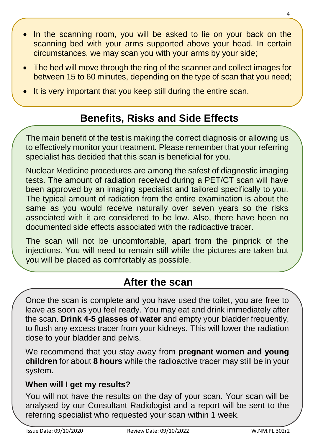- In the scanning room, you will be asked to lie on your back on the scanning bed with your arms supported above your head. In certain circumstances, we may scan you with your arms by your side;
- The bed will move through the ring of the scanner and collect images for between 15 to 60 minutes, depending on the type of scan that you need;
- It is very important that you keep still during the entire scan.

### **Benefits, Risks and Side Effects**

The main benefit of the test is making the correct diagnosis or allowing us to effectively monitor your treatment. Please remember that your referring specialist has decided that this scan is beneficial for you.

Nuclear Medicine procedures are among the safest of diagnostic imaging tests. The amount of radiation received during a PET/CT scan will have been approved by an imaging specialist and tailored specifically to you. The typical amount of radiation from the entire examination is about the same as you would receive naturally over seven years so the risks associated with it are considered to be low. Also, there have been no documented side effects associated with the radioactive tracer.

The scan will not be uncomfortable, apart from the pinprick of the injections. You will need to remain still while the pictures are taken but you will be placed as comfortably as possible.

### **After the scan**

Once the scan is complete and you have used the toilet, you are free to leave as soon as you feel ready. You may eat and drink immediately after the scan. **Drink 4-5 glasses of water** and empty your bladder frequently, to flush any excess tracer from your kidneys. This will lower the radiation dose to your bladder and pelvis.

We recommend that you stay away from **pregnant women and young children** for about **8 hours** while the radioactive tracer may still be in your system.

#### **When will I get my results?**

You will not have the results on the day of your scan. Your scan will be analysed by our Consultant Radiologist and a report will be sent to the referring specialist who requested your scan within 1 week.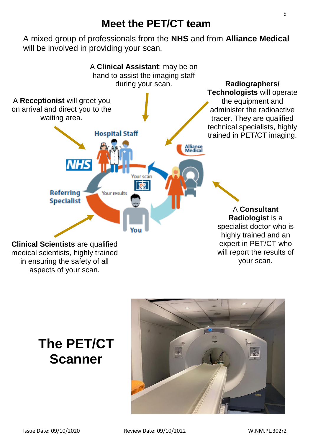#### **Meet the PET/CT team**

A mixed group of professionals from the **NHS** and from **Alliance Medical** will be involved in providing your scan.



# **The PET/CT Scanner**

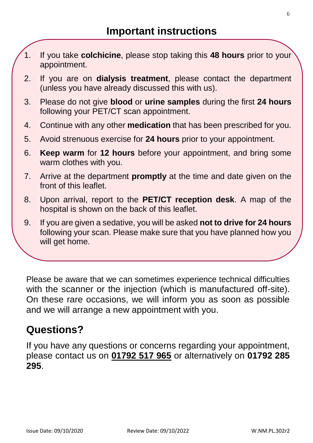- 1. If you take **colchicine**, please stop taking this **48 hours** prior to your appointment.
- 2. If you are on **dialysis treatment**, please contact the department (unless you have already discussed this with us).
- 3. Please do not give **blood** or **urine samples** during the first **24 hours** following your PET/CT scan appointment.
- 4. Continue with any other **medication** that has been prescribed for you.
- 5. Avoid strenuous exercise for **24 hours** prior to your appointment.
- 6. **Keep warm** for **12 hours** before your appointment, and bring some warm clothes with you.
- 7. Arrive at the department **promptly** at the time and date given on the front of this leaflet.
- 8. Upon arrival, report to the **PET/CT reception desk**. A map of the hospital is shown on the back of this leaflet.
- 9. If you are given a sedative, you will be asked **not to drive for 24 hours** following your scan. Please make sure that you have planned how you will get home.

10. If you **cannot** attend for your scan or if you have any questions about

this procedure, please telephone and let us know.

Please be aware that we can sometimes experience technical difficulties with the scanner or the injection (which is manufactured off-site). On these rare occasions, we will inform you as soon as possible and we will arrange a new appointment with you.

#### **Questions?**

If you have any questions or concerns regarding your appointment, please contact us on **01792 517 965** or alternatively on **01792 285 295**.